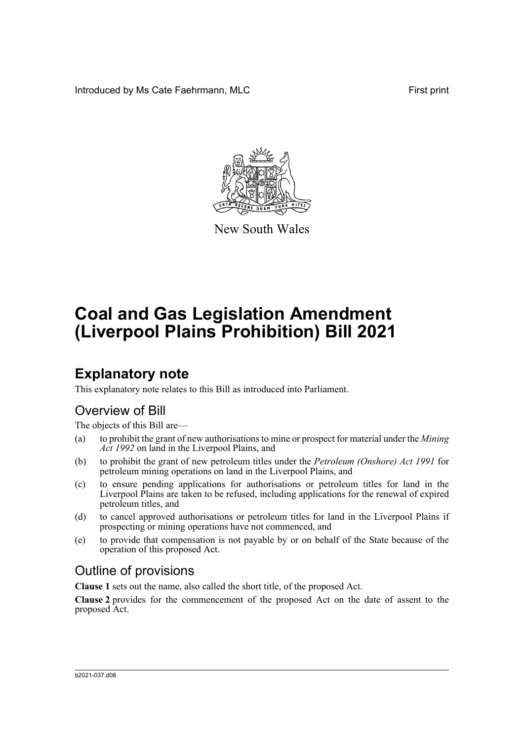Introduced by Ms Cate Faehrmann, MLC **First print** First print



New South Wales

# **Coal and Gas Legislation Amendment (Liverpool Plains Prohibition) Bill 2021**

# **Explanatory note**

This explanatory note relates to this Bill as introduced into Parliament.

### Overview of Bill

The objects of this Bill are—

- (a) to prohibit the grant of new authorisations to mine or prospect for material under the *Mining Act 1992* on land in the Liverpool Plains, and
- (b) to prohibit the grant of new petroleum titles under the *Petroleum (Onshore) Act 1991* for petroleum mining operations on land in the Liverpool Plains, and
- (c) to ensure pending applications for authorisations or petroleum titles for land in the Liverpool Plains are taken to be refused, including applications for the renewal of expired petroleum titles, and
- (d) to cancel approved authorisations or petroleum titles for land in the Liverpool Plains if prospecting or mining operations have not commenced, and
- (e) to provide that compensation is not payable by or on behalf of the State because of the operation of this proposed Act.

## Outline of provisions

**Clause 1** sets out the name, also called the short title, of the proposed Act.

**Clause 2** provides for the commencement of the proposed Act on the date of assent to the proposed Act.

#### b2021-037.d08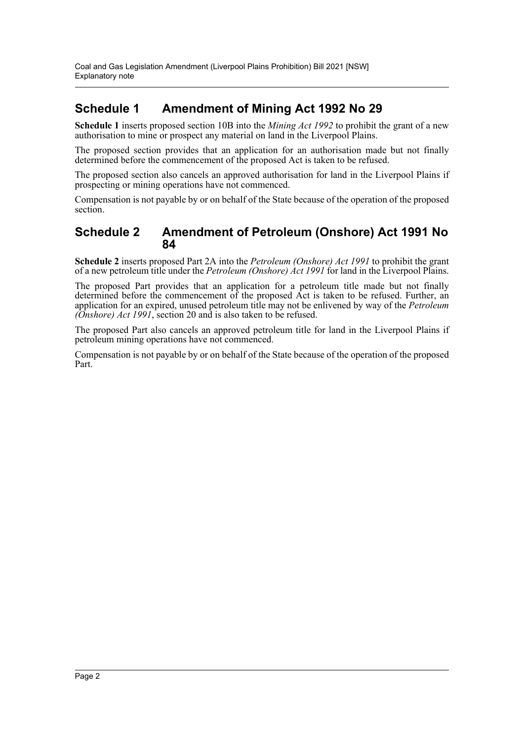### **Schedule 1 Amendment of Mining Act 1992 No 29**

**Schedule 1** inserts proposed section 10B into the *Mining Act 1992* to prohibit the grant of a new authorisation to mine or prospect any material on land in the Liverpool Plains.

The proposed section provides that an application for an authorisation made but not finally determined before the commencement of the proposed Act is taken to be refused.

The proposed section also cancels an approved authorisation for land in the Liverpool Plains if prospecting or mining operations have not commenced.

Compensation is not payable by or on behalf of the State because of the operation of the proposed section.

### **Schedule 2 Amendment of Petroleum (Onshore) Act 1991 No 84**

**Schedule 2** inserts proposed Part 2A into the *Petroleum (Onshore) Act 1991* to prohibit the grant of a new petroleum title under the *Petroleum (Onshore) Act 1991* for land in the Liverpool Plains.

The proposed Part provides that an application for a petroleum title made but not finally determined before the commencement of the proposed  $\overrightarrow{Act}$  is taken to be refused. Further, an application for an expired, unused petroleum title may not be enlivened by way of the *Petroleum (Onshore) Act 1991*, section 20 and is also taken to be refused.

The proposed Part also cancels an approved petroleum title for land in the Liverpool Plains if petroleum mining operations have not commenced.

Compensation is not payable by or on behalf of the State because of the operation of the proposed Part.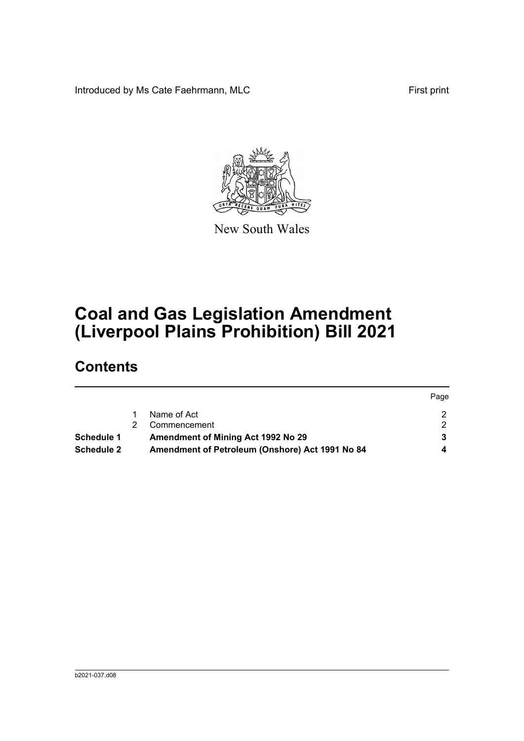Introduced by Ms Cate Faehrmann, MLC First print



New South Wales

# **Coal and Gas Legislation Amendment (Liverpool Plains Prohibition) Bill 2021**

# **Contents**

|                                                  |  |                                                 | Page |
|--------------------------------------------------|--|-------------------------------------------------|------|
|                                                  |  | Name of Act                                     |      |
|                                                  |  | Commencement                                    |      |
| Amendment of Mining Act 1992 No 29<br>Schedule 1 |  |                                                 |      |
| <b>Schedule 2</b>                                |  | Amendment of Petroleum (Onshore) Act 1991 No 84 |      |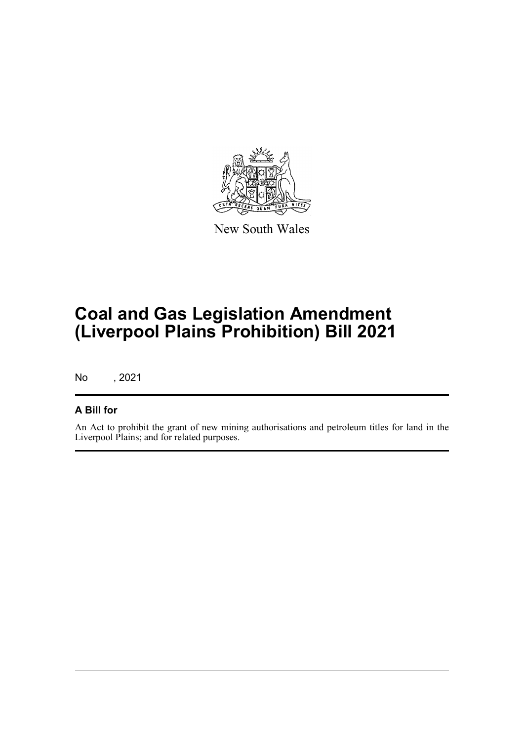

New South Wales

# **Coal and Gas Legislation Amendment (Liverpool Plains Prohibition) Bill 2021**

No , 2021

#### **A Bill for**

An Act to prohibit the grant of new mining authorisations and petroleum titles for land in the Liverpool Plains; and for related purposes.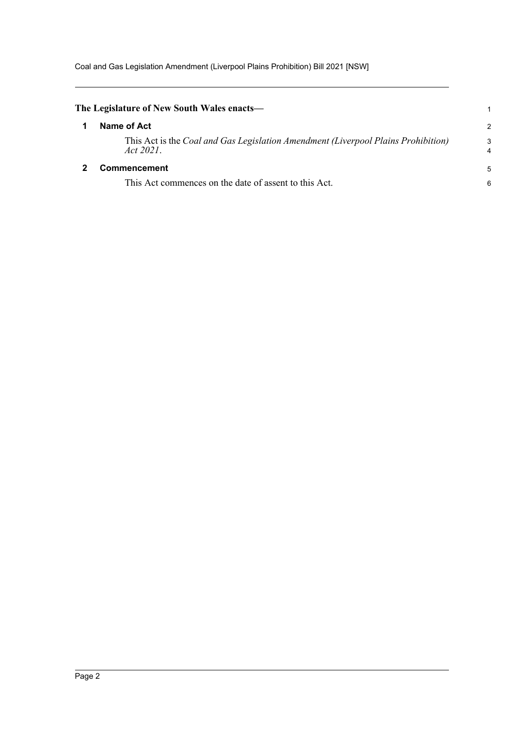Coal and Gas Legislation Amendment (Liverpool Plains Prohibition) Bill 2021 [NSW]

<span id="page-4-1"></span><span id="page-4-0"></span>

| The Legislature of New South Wales enacts-                                                     |        |
|------------------------------------------------------------------------------------------------|--------|
| Name of Act                                                                                    | 2      |
| This Act is the Coal and Gas Legislation Amendment (Liverpool Plains Prohibition)<br>Act 2021. | 3<br>4 |
| <b>Commencement</b>                                                                            | 5      |
| This Act commences on the date of assent to this Act.                                          | 6      |
|                                                                                                |        |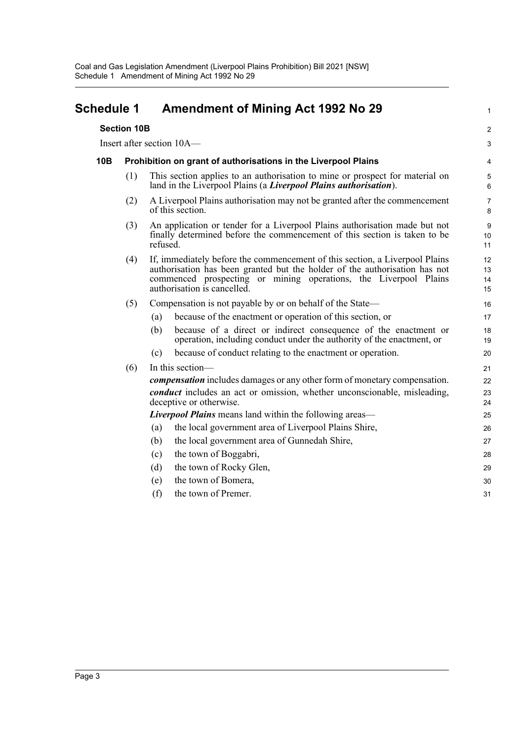<span id="page-5-0"></span>

| <b>Schedule 1</b> | <b>Amendment of Mining Act 1992 No 29</b> |  |  |
|-------------------|-------------------------------------------|--|--|
|                   |                                           |  |  |

|     | <b>Section 10B</b>                                             |     |                                                                                                                                                                                                                                                              | 2                    |  |
|-----|----------------------------------------------------------------|-----|--------------------------------------------------------------------------------------------------------------------------------------------------------------------------------------------------------------------------------------------------------------|----------------------|--|
|     |                                                                |     | Insert after section 10A-                                                                                                                                                                                                                                    | 3                    |  |
| 10B | Prohibition on grant of authorisations in the Liverpool Plains |     |                                                                                                                                                                                                                                                              |                      |  |
|     | (1)                                                            |     | This section applies to an authorisation to mine or prospect for material on<br>land in the Liverpool Plains (a Liverpool Plains authorisation).                                                                                                             | 5<br>6               |  |
|     | (2)                                                            |     | A Liverpool Plains authorisation may not be granted after the commencement<br>of this section.                                                                                                                                                               | $\overline{7}$<br>8  |  |
|     | (3)                                                            |     | An application or tender for a Liverpool Plains authorisation made but not<br>finally determined before the commencement of this section is taken to be<br>refused.                                                                                          |                      |  |
|     | (4)                                                            |     | If, immediately before the commencement of this section, a Liverpool Plains<br>authorisation has been granted but the holder of the authorisation has not<br>commenced prospecting or mining operations, the Liverpool Plains<br>authorisation is cancelled. | 12<br>13<br>14<br>15 |  |
|     | (5)                                                            |     | Compensation is not payable by or on behalf of the State—                                                                                                                                                                                                    | 16                   |  |
|     |                                                                | (a) | because of the enactment or operation of this section, or                                                                                                                                                                                                    | 17                   |  |
|     |                                                                | (b) | because of a direct or indirect consequence of the enactment or<br>operation, including conduct under the authority of the enactment, or                                                                                                                     | 18<br>19             |  |
|     |                                                                | (c) | because of conduct relating to the enactment or operation.                                                                                                                                                                                                   | 20                   |  |
|     | (6)                                                            |     | In this section-                                                                                                                                                                                                                                             | 21                   |  |
|     |                                                                |     | <i>compensation</i> includes damages or any other form of monetary compensation.                                                                                                                                                                             | 22                   |  |
|     |                                                                |     | conduct includes an act or omission, whether unconscionable, misleading,<br>deceptive or otherwise.                                                                                                                                                          | 23<br>24             |  |
|     |                                                                |     | <b>Liverpool Plains</b> means land within the following areas—                                                                                                                                                                                               | 25                   |  |
|     |                                                                | (a) | the local government area of Liverpool Plains Shire,                                                                                                                                                                                                         | 26                   |  |
|     |                                                                | (b) | the local government area of Gunnedah Shire,                                                                                                                                                                                                                 | 27                   |  |
|     |                                                                | (c) | the town of Boggabri,                                                                                                                                                                                                                                        | 28                   |  |
|     |                                                                | (d) | the town of Rocky Glen,                                                                                                                                                                                                                                      | 29                   |  |
|     |                                                                | (e) | the town of Bomera,                                                                                                                                                                                                                                          | 30                   |  |
|     |                                                                | (f) | the town of Premer.                                                                                                                                                                                                                                          | 31                   |  |
|     |                                                                |     |                                                                                                                                                                                                                                                              |                      |  |

1